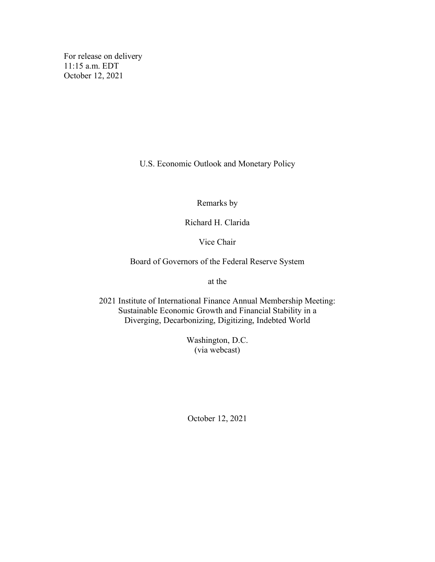For release on delivery 11:15 a.m. EDT October 12, 2021

U.S. Economic Outlook and Monetary Policy

Remarks by

Richard H. Clarida

Vice Chair

Board of Governors of the Federal Reserve System

at the

2021 Institute of International Finance Annual Membership Meeting: Sustainable Economic Growth and Financial Stability in a Diverging, Decarbonizing, Digitizing, Indebted World

> Washington, D.C. (via webcast)

October 12, 2021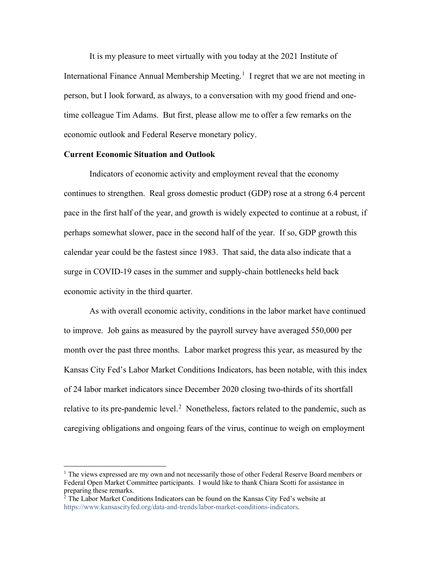It is my pleasure to meet virtually with you today at the 2021 Institute of International Finance Annual Membership Meeting.<sup>[1](#page-1-0)</sup> I regret that we are not meeting in person, but I look forward, as always, to a conversation with my good friend and onetime colleague Tim Adams. But first, please allow me to offer a few remarks on the economic outlook and Federal Reserve monetary policy.

## **Current Economic Situation and Outlook**

Indicators of economic activity and employment reveal that the economy continues to strengthen. Real gross domestic product (GDP) rose at a strong 6.4 percent pace in the first half of the year, and growth is widely expected to continue at a robust, if perhaps somewhat slower, pace in the second half of the year. If so, GDP growth this calendar year could be the fastest since 1983. That said, the data also indicate that a surge in COVID-19 cases in the summer and supply-chain bottlenecks held back economic activity in the third quarter.

As with overall economic activity, conditions in the labor market have continued to improve. Job gains as measured by the payroll survey have averaged 550,000 per month over the past three months. Labor market progress this year, as measured by the Kansas City Fed's Labor Market Conditions Indicators, has been notable, with this index of 24 labor market indicators since December 2020 closing two-thirds of its shortfall relative to its pre-pandemic level.<sup>[2](#page-1-1)</sup> Nonetheless, factors related to the pandemic, such as caregiving obligations and ongoing fears of the virus, continue to weigh on employment

<span id="page-1-0"></span><sup>&</sup>lt;sup>1</sup> The views expressed are my own and not necessarily those of other Federal Reserve Board members or Federal Open Market Committee participants. I would like to thank Chiara Scotti for assistance in preparing these remarks.

<span id="page-1-1"></span> $2$  The Labor Market Conditions Indicators can be found on the Kansas City Fed's website at [https://www.kansascityfed.org/data-and-trends/labor-market-conditions-indicators.](https://www.kansascityfed.org/data-and-trends/labor-market-conditions-indicators/)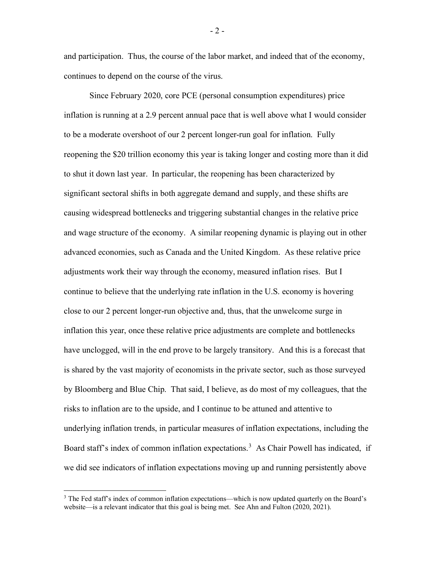and participation. Thus, the course of the labor market, and indeed that of the economy, continues to depend on the course of the virus.

Since February 2020, core PCE (personal consumption expenditures) price inflation is running at a 2.9 percent annual pace that is well above what I would consider to be a moderate overshoot of our 2 percent longer-run goal for inflation. Fully reopening the \$20 trillion economy this year is taking longer and costing more than it did to shut it down last year. In particular, the reopening has been characterized by significant sectoral shifts in both aggregate demand and supply, and these shifts are causing widespread bottlenecks and triggering substantial changes in the relative price and wage structure of the economy. A similar reopening dynamic is playing out in other advanced economies, such as Canada and the United Kingdom. As these relative price adjustments work their way through the economy, measured inflation rises. But I continue to believe that the underlying rate inflation in the U.S. economy is hovering close to our 2 percent longer-run objective and, thus, that the unwelcome surge in inflation this year, once these relative price adjustments are complete and bottlenecks have unclogged, will in the end prove to be largely transitory. And this is a forecast that is shared by the vast majority of economists in the private sector, such as those surveyed by Bloomberg and Blue Chip. That said, I believe, as do most of my colleagues, that the risks to inflation are to the upside, and I continue to be attuned and attentive to underlying inflation trends, in particular measures of inflation expectations, including the Board staff's index of common inflation expectations.<sup>[3](#page-2-0)</sup> As Chair Powell has indicated, if we did see indicators of inflation expectations moving up and running persistently above

<span id="page-2-0"></span><sup>&</sup>lt;sup>3</sup> The Fed staff's index of common inflation expectations—which is now updated quarterly on the Board's website—is a relevant indicator that this goal is being met. See Ahn and Fulton (2020, 2021).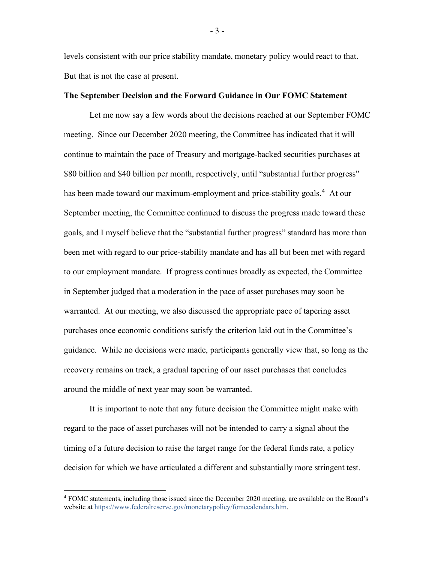levels consistent with our price stability mandate, monetary policy would react to that. But that is not the case at present.

## **The September Decision and the Forward Guidance in Our FOMC Statement**

Let me now say a few words about the decisions reached at our September FOMC meeting. Since our December 2020 meeting, the Committee has indicated that it will continue to maintain the pace of Treasury and mortgage-backed securities purchases at \$80 billion and \$40 billion per month, respectively, until "substantial further progress" has been made toward our maximum-employment and price-stability goals.<sup>[4](#page-3-0)</sup> At our September meeting, the Committee continued to discuss the progress made toward these goals, and I myself believe that the "substantial further progress" standard has more than been met with regard to our price-stability mandate and has all but been met with regard to our employment mandate. If progress continues broadly as expected, the Committee in September judged that a moderation in the pace of asset purchases may soon be warranted. At our meeting, we also discussed the appropriate pace of tapering asset purchases once economic conditions satisfy the criterion laid out in the Committee's guidance. While no decisions were made, participants generally view that, so long as the recovery remains on track, a gradual tapering of our asset purchases that concludes around the middle of next year may soon be warranted.

It is important to note that any future decision the Committee might make with regard to the pace of asset purchases will not be intended to carry a signal about the timing of a future decision to raise the target range for the federal funds rate, a policy decision for which we have articulated a different and substantially more stringent test.

- 3 -

<span id="page-3-0"></span><sup>4</sup> FOMC statements, including those issued since the December 2020 meeting, are available on the Board's website at [https://www.federalreserve.gov/monetarypolicy/fomccalendars.htm.](https://www.federalreserve.gov/monetarypolicy/fomccalendars.htm)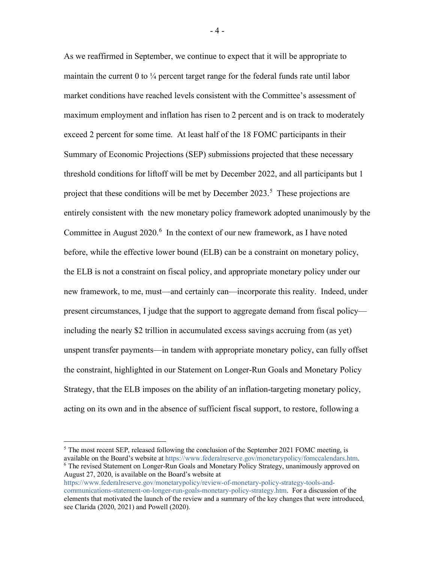As we reaffirmed in September, we continue to expect that it will be appropriate to maintain the current 0 to  $\frac{1}{4}$  percent target range for the federal funds rate until labor market conditions have reached levels consistent with the Committee's assessment of maximum employment and inflation has risen to 2 percent and is on track to moderately exceed 2 percent for some time. At least half of the 18 FOMC participants in their Summary of Economic Projections (SEP) submissions projected that these necessary threshold conditions for liftoff will be met by December 2022, and all participants but 1 project that these conditions will be met by December 2023.<sup>[5](#page-4-0)</sup> These projections are entirely consistent with the new monetary policy framework adopted unanimously by the Committee in August  $2020$ .<sup>[6](#page-4-1)</sup> In the context of our new framework, as I have noted before, while the effective lower bound (ELB) can be a constraint on monetary policy, the ELB is not a constraint on fiscal policy, and appropriate monetary policy under our new framework, to me, must—and certainly can—incorporate this reality. Indeed, under present circumstances, I judge that the support to aggregate demand from fiscal policy including the nearly \$2 trillion in accumulated excess savings accruing from (as yet) unspent transfer payments—in tandem with appropriate monetary policy, can fully offset the constraint, highlighted in our Statement on Longer-Run Goals and Monetary Policy Strategy, that the ELB imposes on the ability of an inflation-targeting monetary policy, acting on its own and in the absence of sufficient fiscal support, to restore, following a

<span id="page-4-1"></span>[https://www.federalreserve.gov/monetarypolicy/review-of-monetary-policy-strategy-tools-and](https://www.federalreserve.gov/monetarypolicy/review-of-monetary-policy-strategy-tools-and-communications-statement-on-longer-run-goals-monetary-policy-strategy.htm)[communications-statement-on-longer-run-goals-monetary-policy-strategy.htm.](https://www.federalreserve.gov/monetarypolicy/review-of-monetary-policy-strategy-tools-and-communications-statement-on-longer-run-goals-monetary-policy-strategy.htm) For a discussion of the elements that motivated the launch of the review and a summary of the key changes that were introduced, see Clarida (2020, 2021) and Powell (2020).

<span id="page-4-0"></span><sup>&</sup>lt;sup>5</sup> The most recent SEP, released following the conclusion of the September 2021 FOMC meeting, is available on the Board's website a[t https://www.federalreserve.gov/monetarypolicy/fomccalendars.htm.](https://www.federalreserve.gov/monetarypolicy/fomccalendars.htm) <sup>6</sup> The revised Statement on Longer-Run Goals and Monetary Policy Strategy, unanimously approved on August 27, 2020, is available on the Board's website at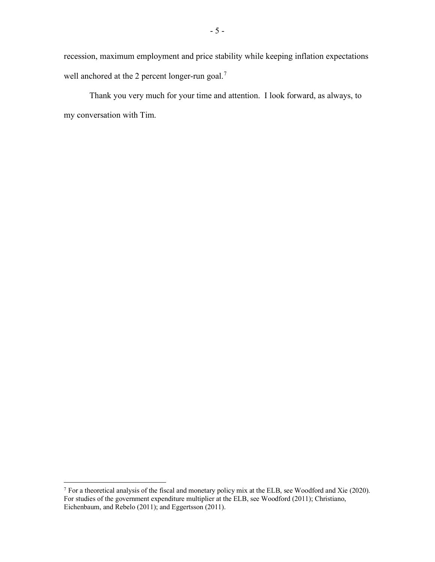recession, maximum employment and price stability while keeping inflation expectations well anchored at the 2 percent longer-run goal.<sup>[7](#page-5-0)</sup>

Thank you very much for your time and attention. I look forward, as always, to my conversation with Tim.

<span id="page-5-0"></span> $7$  For a theoretical analysis of the fiscal and monetary policy mix at the ELB, see Woodford and Xie (2020). For studies of the government expenditure multiplier at the ELB, see Woodford (2011); Christiano, Eichenbaum, and Rebelo (2011); and Eggertsson (2011).